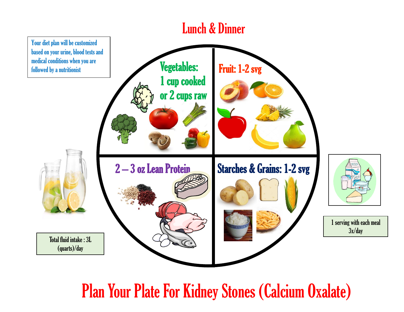

Plan Your Plate For Kidney Stones (Calcium Oxalate)